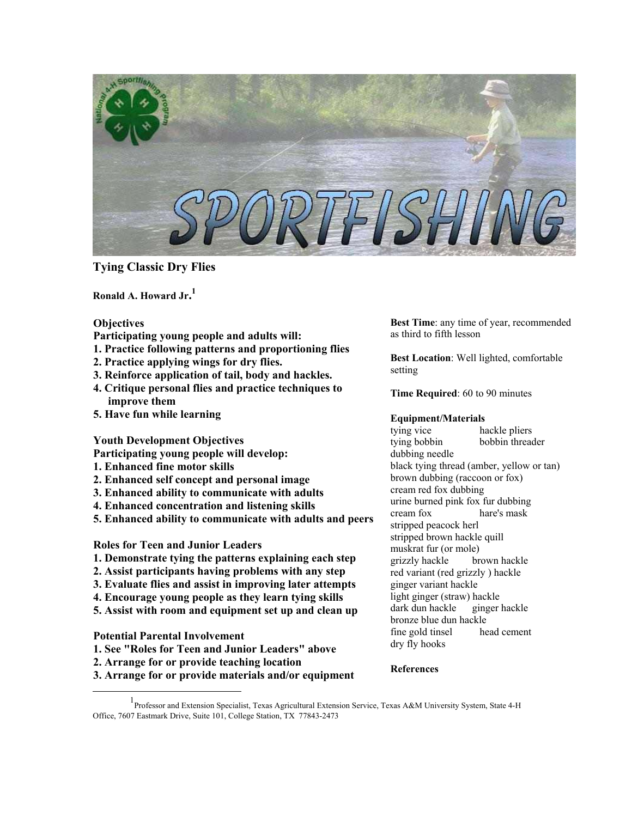

**Tying Classic Dry Flies** 

**Ronald A. Howard Jr. [1](#page-0-0)**

## **Objectives**

- **Participating young people and adults will:**
- **1. Practice following patterns and proportioning flies**
- **2. Practice applying wings for dry flies.**
- **3. Reinforce application of tail, body and hackles.**
- **4. Critique personal flies and practice techniques to improve them**
- **5. Have fun while learning**

## **Youth Development Objectives**

**Participating young people will develop:** 

- **1. Enhanced fine motor skills**
- **2. Enhanced self concept and personal image**
- **3. Enhanced ability to communicate with adults**
- **4. Enhanced concentration and listening skills**
- **5. Enhanced ability to communicate with adults and peers**

# **Roles for Teen and Junior Leaders**

- **1. Demonstrate tying the patterns explaining each step**
- **2. Assist participants having problems with any step**
- **3. Evaluate flies and assist in improving later attempts**
- **4. Encourage young people as they learn tying skills**
- **5. Assist with room and equipment set up and clean up**

## **Potential Parental Involvement**

- **1. See "Roles for Teen and Junior Leaders" above**
- **2. Arrange for or provide teaching location**
- **3. Arrange for or provide materials and/or equipment**

**Best Time**: any time of year, recommended as third to fifth lesson

**Best Location**: Well lighted, comfortable setting

**Time Required**: 60 to 90 minutes

## **Equipment/Materials**

tying vice hackle pliers tying bobbin bobbin threader dubbing needle black tying thread (amber, yellow or tan) brown dubbing (raccoon or fox) cream red fox dubbing urine burned pink fox fur dubbing cream fox hare's mask stripped peacock herl stripped brown hackle quill muskrat fur (or mole) grizzly hackle brown hackle red variant (red grizzly ) hackle ginger variant hackle light ginger (straw) hackle dark dun hackle ginger hackle bronze blue dun hackle fine gold tinsel head cement dry fly hooks

## **References**

<span id="page-0-0"></span><sup>&</sup>lt;u>1</u> Professor and Extension Specialist, Texas Agricultural Extension Service, Texas A&M University System, State 4-H Office, 7607 Eastmark Drive, Suite 101, College Station, TX 77843-2473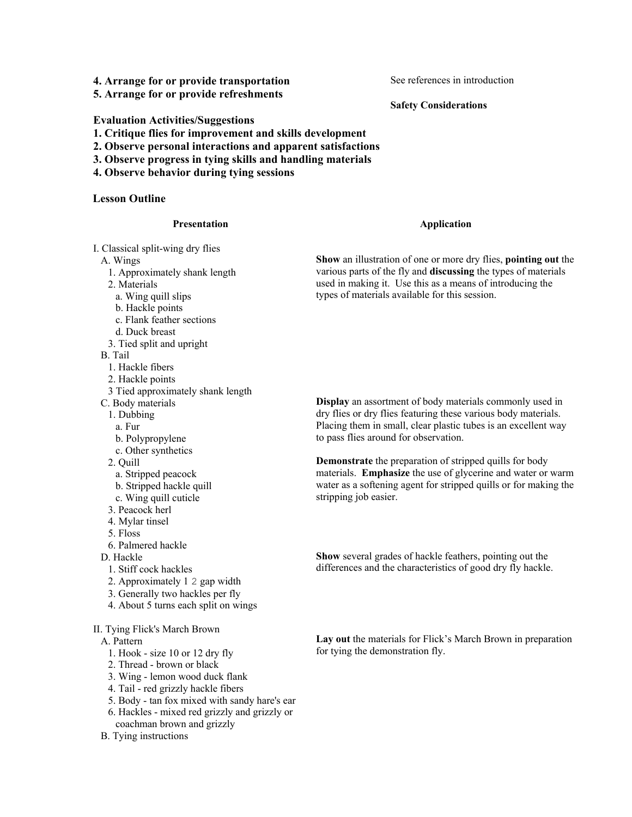**4. Arrange for or provide transportation** 

**5. Arrange for or provide refreshments** 

See references in introduction

**Safety Considerations**

## **Evaluation Activities/Suggestions**

- **1. Critique flies for improvement and skills development**
- **2. Observe personal interactions and apparent satisfactions**
- **3. Observe progress in tying skills and handling materials**
- **4. Observe behavior during tying sessions**

#### **Lesson Outline**

#### **Presentation**

#### **Application**

I. Classical split-wing dry flies

- A. Wings
	- 1. Approximately shank length

2. Materials

- a. Wing quill slips
- b. Hackle points
- c. Flank feather sections
- d. Duck breast
- 3. Tied split and upright

B. Tail

- 1. Hackle fibers
- 2. Hackle points
- 3 Tied approximately shank length
- C. Body materials
	- 1. Dubbing
	- a. Fur
	- b. Polypropylene
	- c. Other synthetics
- 2. Quill
	- a. Stripped peacock
	- b. Stripped hackle quill
- c. Wing quill cuticle
- 3. Peacock herl
- 4. Mylar tinsel
- 5. Floss
- 6. Palmered hackle
- D. Hackle
	- 1. Stiff cock hackles
	- 2. Approximately 1 2 gap width
	- 3. Generally two hackles per fly
	- 4. About 5 turns each split on wings
- II. Tying Flick's March Brown
- A. Pattern
	- 1. Hook size 10 or 12 dry fly
	- 2. Thread brown or black
	- 3. Wing lemon wood duck flank
	- 4. Tail red grizzly hackle fibers
	- 5. Body tan fox mixed with sandy hare's ear
	- 6. Hackles mixed red grizzly and grizzly or coachman brown and grizzly

#### B. Tying instructions

**Display** an assortment of body materials commonly used in dry flies or dry flies featuring these various body materials. Placing them in small, clear plastic tubes is an excellent way to pass flies around for observation.

**Demonstrate** the preparation of stripped quills for body materials. **Emphasize** the use of glycerine and water or warm water as a softening agent for stripped quills or for making the stripping job easier.

**Show** several grades of hackle feathers, pointing out the differences and the characteristics of good dry fly hackle.

**Lay out** the materials for Flick's March Brown in preparation for tying the demonstration fly.

**Show** an illustration of one or more dry flies, **pointing out** the various parts of the fly and **discussing** the types of materials used in making it. Use this as a means of introducing the types of materials available for this session.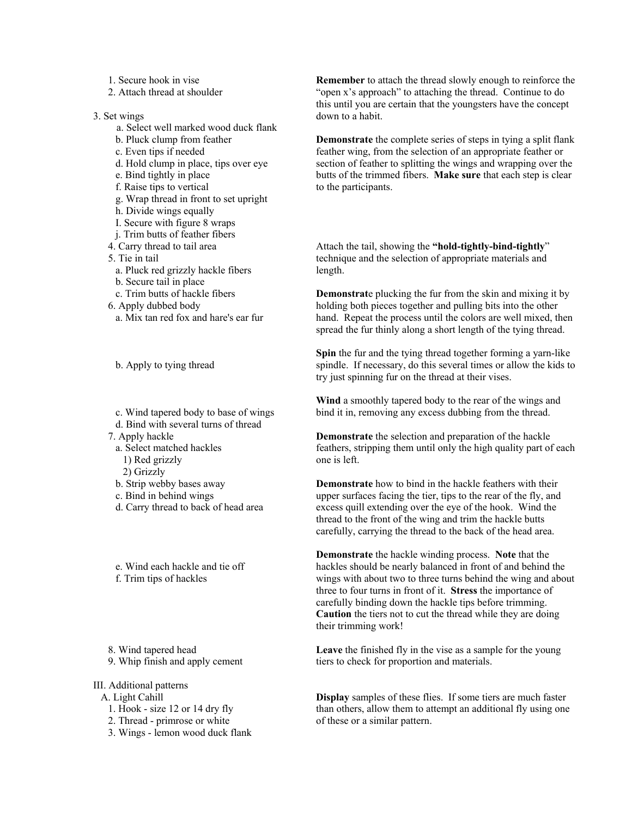- 1. Secure hook in vise
- 2. Attach thread at shoulder
- 3. Set wings
	- a. Select well marked wood duck flank
	- b. Pluck clump from feather
	- c. Even tips if needed
	- d. Hold clump in place, tips over eye
	- e. Bind tightly in place
	- f. Raise tips to vertical
	- g. Wrap thread in front to set upright
	- h. Divide wings equally
	- I. Secure with figure 8 wraps
	- j. Trim butts of feather fibers
	- 4. Carry thread to tail area
	- 5. Tie in tail
	- a. Pluck red grizzly hackle fibers
	- b. Secure tail in place
	- c. Trim butts of hackle fibers
	- 6. Apply dubbed body a. Mix tan red fox and hare's ear fur

b. Apply to tying thread

- c. Wind tapered body to base of wings d. Bind with several turns of thread
- 7. Apply hackle
- a. Select matched hackles
	- 1) Red grizzly
	- 2) Grizzly
- b. Strip webby bases away
- c. Bind in behind wings
- d. Carry thread to back of head area
- e. Wind each hackle and tie off f. Trim tips of hackles
- 
- 8. Wind tapered head 9. Whip finish and apply cement
- III. Additional patterns
- A. Light Cahill
	- 1. Hook size 12 or 14 dry fly
	- 2. Thread primrose or white
	- 3. Wings lemon wood duck flank

**Remember** to attach the thread slowly enough to reinforce the "open x's approach" to attaching the thread. Continue to do this until you are certain that the youngsters have the concept down to a habit.

**Demonstrate** the complete series of steps in tying a split flank feather wing, from the selection of an appropriate feather or section of feather to splitting the wings and wrapping over the butts of the trimmed fibers. **Make sure** that each step is clear to the participants.

Attach the tail, showing the **"hold-tightly-bind-tightly**" technique and the selection of appropriate materials and length.

**Demonstrat**e plucking the fur from the skin and mixing it by holding both pieces together and pulling bits into the other hand. Repeat the process until the colors are well mixed, then spread the fur thinly along a short length of the tying thread.

**Spin** the fur and the tying thread together forming a yarn-like spindle. If necessary, do this several times or allow the kids to try just spinning fur on the thread at their vises.

**Wind** a smoothly tapered body to the rear of the wings and bind it in, removing any excess dubbing from the thread.

**Demonstrate** the selection and preparation of the hackle feathers, stripping them until only the high quality part of each one is left.

**Demonstrate** how to bind in the hackle feathers with their upper surfaces facing the tier, tips to the rear of the fly, and excess quill extending over the eye of the hook. Wind the thread to the front of the wing and trim the hackle butts carefully, carrying the thread to the back of the head area.

**Demonstrate** the hackle winding process. **Note** that the hackles should be nearly balanced in front of and behind the wings with about two to three turns behind the wing and about three to four turns in front of it. **Stress** the importance of carefully binding down the hackle tips before trimming. **Caution** the tiers not to cut the thread while they are doing their trimming work!

**Leave** the finished fly in the vise as a sample for the young tiers to check for proportion and materials.

**Display** samples of these flies. If some tiers are much faster than others, allow them to attempt an additional fly using one of these or a similar pattern.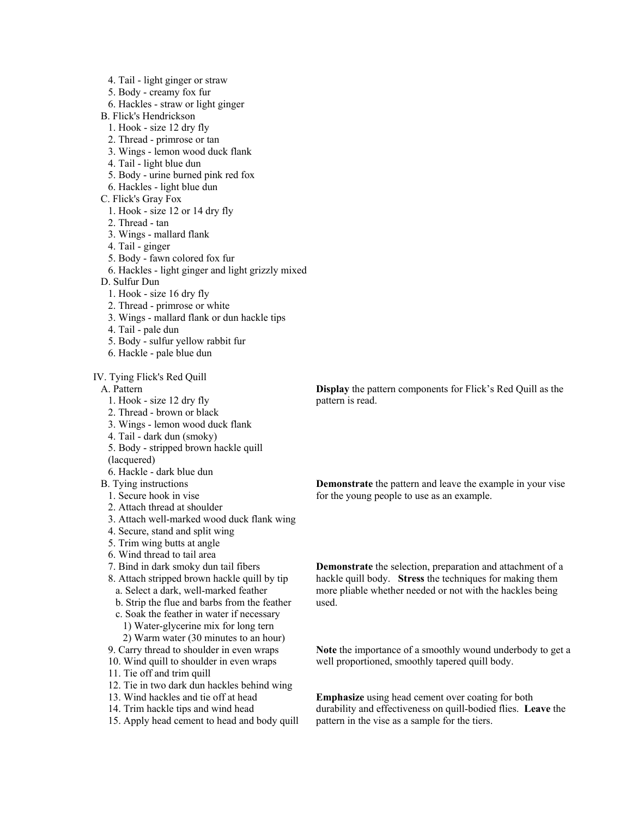- 4. Tail light ginger or straw
- 5. Body creamy fox fur
- 6. Hackles straw or light ginger
- B. Flick's Hendrickson
- 1. Hook size 12 dry fly
- 2. Thread primrose or tan
- 3. Wings lemon wood duck flank
- 4. Tail light blue dun
- 5. Body urine burned pink red fox
- 6. Hackles light blue dun
- C. Flick's Gray Fox
	- 1. Hook size 12 or 14 dry fly
	- 2. Thread tan
	- 3. Wings mallard flank
- 4. Tail ginger
- 5. Body fawn colored fox fur
- 6. Hackles light ginger and light grizzly mixed
- D. Sulfur Dun
	- 1. Hook size 16 dry fly
	- 2. Thread primrose or white
- 3. Wings mallard flank or dun hackle tips
- 4. Tail pale dun
- 5. Body sulfur yellow rabbit fur
- 6. Hackle pale blue dun

IV. Tying Flick's Red Quill

A. Pattern

- 1. Hook size 12 dry fly
- 2. Thread brown or black
- 3. Wings lemon wood duck flank
- 4. Tail dark dun (smoky)
- 5. Body stripped brown hackle quill

(lacquered)

6. Hackle - dark blue dun

# B. Tying instructions

- 1. Secure hook in vise
- 2. Attach thread at shoulder
- 3. Attach well-marked wood duck flank wing
- 4. Secure, stand and split wing
- 5. Trim wing butts at angle
- 6. Wind thread to tail area
- 7. Bind in dark smoky dun tail fibers
- 8. Attach stripped brown hackle quill by tip a. Select a dark, well-marked feather
	- b. Strip the flue and barbs from the feather
	- c. Soak the feather in water if necessary 1) Water-glycerine mix for long tern
	- 2) Warm water (30 minutes to an hour)
- 9. Carry thread to shoulder in even wraps
- 10. Wind quill to shoulder in even wraps
- 11. Tie off and trim quill
- 12. Tie in two dark dun hackles behind wing
- 13. Wind hackles and tie off at head
- 14. Trim hackle tips and wind head
- 15. Apply head cement to head and body quill

**Display** the pattern components for Flick's Red Quill as the pattern is read.

**Demonstrate** the pattern and leave the example in your vise for the young people to use as an example.

**Demonstrate** the selection, preparation and attachment of a hackle quill body. **Stress** the techniques for making them more pliable whether needed or not with the hackles being used.

**Note** the importance of a smoothly wound underbody to get a well proportioned, smoothly tapered quill body.

**Emphasize** using head cement over coating for both durability and effectiveness on quill-bodied flies. **Leave** the pattern in the vise as a sample for the tiers.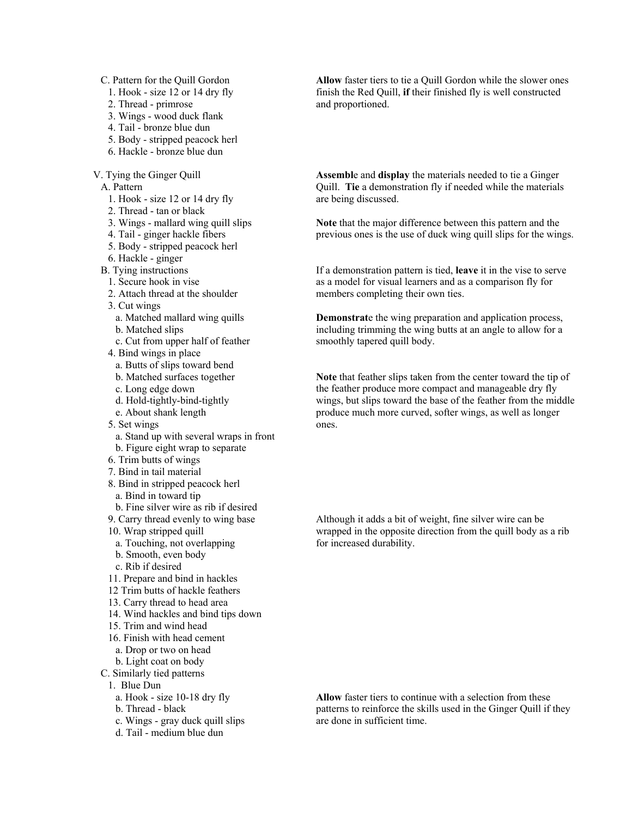C. Pattern for the Quill Gordon

- 1. Hook size 12 or 14 dry fly
- 2. Thread primrose
- 3. Wings wood duck flank
- 4. Tail bronze blue dun
- 5. Body stripped peacock herl
- 6. Hackle bronze blue dun

V. Tying the Ginger Quill

A. Pattern

- 1. Hook size 12 or 14 dry fly
- 2. Thread tan or black
- 3. Wings mallard wing quill slips
- 4. Tail ginger hackle fibers
- 5. Body stripped peacock herl
- 6. Hackle ginger
- B. Tying instructions
	- 1. Secure hook in vise
	- 2. Attach thread at the shoulder
	- 3. Cut wings
	- a. Matched mallard wing quills
	- b. Matched slips
	- c. Cut from upper half of feather
	- 4. Bind wings in place
	- a. Butts of slips toward bend
	- b. Matched surfaces together
	- c. Long edge down
	- d. Hold-tightly-bind-tightly
	- e. About shank length
	- 5. Set wings
	- a. Stand up with several wraps in front b. Figure eight wrap to separate
	- 6. Trim butts of wings
	- 7. Bind in tail material
	- 8. Bind in stripped peacock herl
	- a. Bind in toward tip
	- b. Fine silver wire as rib if desired
	- 9. Carry thread evenly to wing base
	- 10. Wrap stripped quill
	- a. Touching, not overlapping
	- b. Smooth, even body
	- c. Rib if desired
	- 11. Prepare and bind in hackles
	- 12 Trim butts of hackle feathers
	- 13. Carry thread to head area
	- 14. Wind hackles and bind tips down
	- 15. Trim and wind head
	- 16. Finish with head cement
	- a. Drop or two on head
	- b. Light coat on body
- C. Similarly tied patterns
	- 1. Blue Dun
	- a. Hook size 10-18 dry fly
	- b. Thread black
	- c. Wings gray duck quill slips
	- d. Tail medium blue dun

**Allow** faster tiers to tie a Quill Gordon while the slower ones finish the Red Quill, **if** their finished fly is well constructed and proportioned.

**Assembl**e and **display** the materials needed to tie a Ginger Quill. **Tie** a demonstration fly if needed while the materials are being discussed.

**Note** that the major difference between this pattern and the previous ones is the use of duck wing quill slips for the wings.

If a demonstration pattern is tied, **leave** it in the vise to serve as a model for visual learners and as a comparison fly for members completing their own ties.

**Demonstrat**e the wing preparation and application process, including trimming the wing butts at an angle to allow for a smoothly tapered quill body.

**Note** that feather slips taken from the center toward the tip of the feather produce more compact and manageable dry fly wings, but slips toward the base of the feather from the middle produce much more curved, softer wings, as well as longer ones.

Although it adds a bit of weight, fine silver wire can be wrapped in the opposite direction from the quill body as a rib for increased durability.

**Allow** faster tiers to continue with a selection from these patterns to reinforce the skills used in the Ginger Quill if they are done in sufficient time.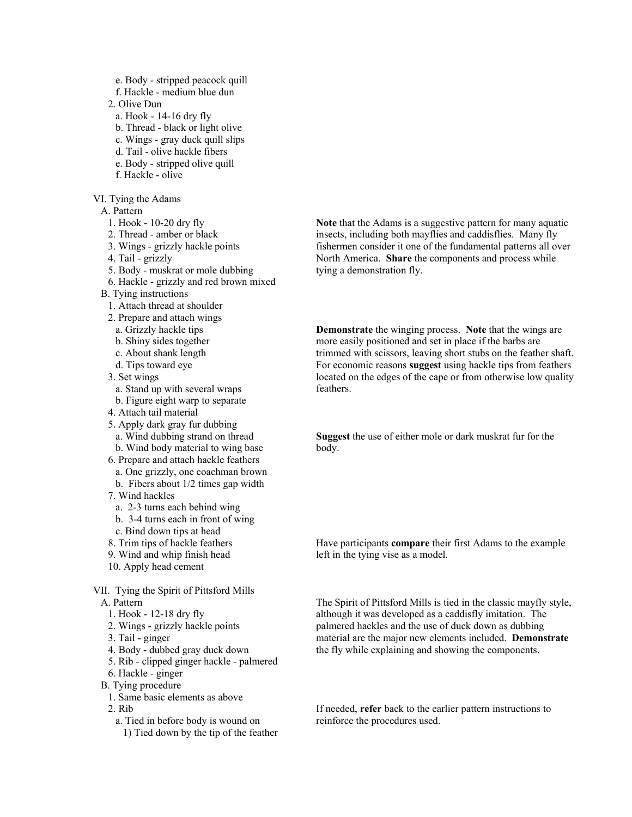- e. Body stripped peacock quill
- f. Hackle medium blue dun
- 2. Olive Dun
- a. Hook 14-16 dry fly
- b. Thread black or light olive
- c. Wings gray duck quill slips
- d. Tail olive hackle fibers
- e. Body stripped olive quill f. Hackle - olive
- 
- VI. Tying the Adams
	- A. Pattern
		- 1. Hook 10-20 dry fly
		- 2. Thread amber or black
		- 3. Wings grizzly hackle points
		- 4. Tail grizzly
		- 5. Body muskrat or mole dubbing
		- 6. Hackle grizzly and red brown mixed
	- B. Tying instructions
		- 1. Attach thread at shoulder
		- 2. Prepare and attach wings
		- a. Grizzly hackle tips
		- b. Shiny sides together
		- c. About shank length
		- d. Tips toward eye
		- 3. Set wings
			- a. Stand up with several wraps
		- b. Figure eight warp to separate
		- 4. Attach tail material
		- 5. Apply dark gray fur dubbing a. Wind dubbing strand on thread
			- b. Wind body material to wing base
		- 6. Prepare and attach hackle feathers
		- a. One grizzly, one coachman brown
		- b. Fibers about 1/2 times gap width
		- 7. Wind hackles
		- a. 2-3 turns each behind wing
		- b. 3-4 turns each in front of wing
		- c. Bind down tips at head
		- 8. Trim tips of hackle feathers
		- 9. Wind and whip finish head
		- 10. Apply head cement
- VII. Tying the Spirit of Pittsford Mills
	- A. Pattern
		- 1. Hook 12-18 dry fly
		- 2. Wings grizzly hackle points
		- 3. Tail ginger
		- 4. Body dubbed gray duck down
		- 5. Rib clipped ginger hackle palmered
		- 6. Hackle ginger
	- B. Tying procedure
		- 1. Same basic elements as above
		- 2. Rib
			- a. Tied in before body is wound on
				- 1) Tied down by the tip of the feather

**Note** that the Adams is a suggestive pattern for many aquatic insects, including both mayflies and caddisflies. Many fly fishermen consider it one of the fundamental patterns all over North America. **Share** the components and process while tying a demonstration fly.

**Demonstrate** the winging process. **Note** that the wings are more easily positioned and set in place if the barbs are trimmed with scissors, leaving short stubs on the feather shaft. For economic reasons **suggest** using hackle tips from feathers located on the edges of the cape or from otherwise low quality feathers.

**Suggest** the use of either mole or dark muskrat fur for the body.

Have participants **compare** their first Adams to the example left in the tying vise as a model.

The Spirit of Pittsford Mills is tied in the classic mayfly style, although it was developed as a caddisfly imitation. The palmered hackles and the use of duck down as dubbing material are the major new elements included. **Demonstrate** the fly while explaining and showing the components.

If needed, **refer** back to the earlier pattern instructions to reinforce the procedures used.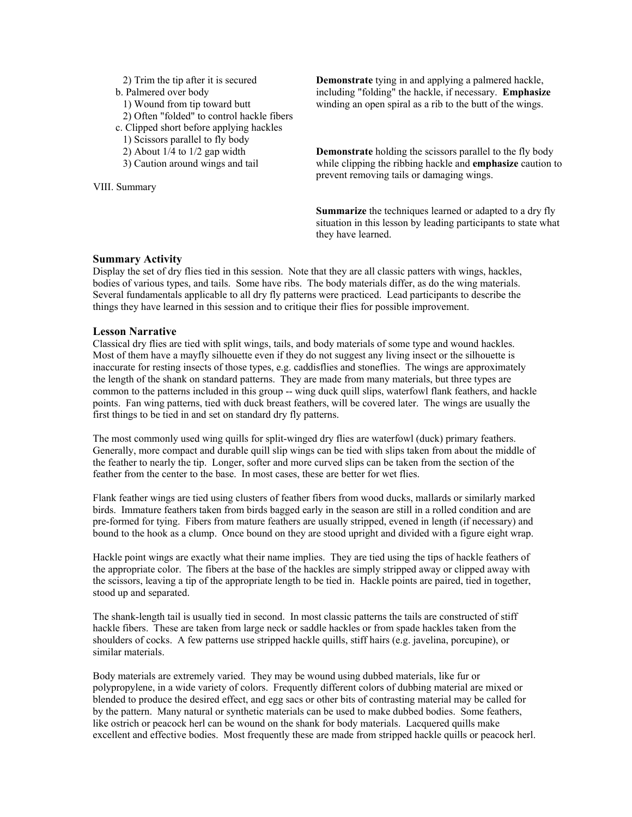- 2) Trim the tip after it is secured
- b. Palmered over body
	- 1) Wound from tip toward butt
	- 2) Often "folded" to control hackle fibers
- c. Clipped short before applying hackles
- 1) Scissors parallel to fly body
- 2) About 1/4 to 1/2 gap width
- 3) Caution around wings and tail

VIII. Summary

**Demonstrate** tying in and applying a palmered hackle, including "folding" the hackle, if necessary. **Emphasize**  winding an open spiral as a rib to the butt of the wings.

**Demonstrate** holding the scissors parallel to the fly body while clipping the ribbing hackle and **emphasize** caution to prevent removing tails or damaging wings.

**Summarize** the techniques learned or adapted to a dry fly situation in this lesson by leading participants to state what they have learned.

#### **Summary Activity**

Display the set of dry flies tied in this session. Note that they are all classic patters with wings, hackles, bodies of various types, and tails. Some have ribs. The body materials differ, as do the wing materials. Several fundamentals applicable to all dry fly patterns were practiced. Lead participants to describe the things they have learned in this session and to critique their flies for possible improvement.

### **Lesson Narrative**

Classical dry flies are tied with split wings, tails, and body materials of some type and wound hackles. Most of them have a mayfly silhouette even if they do not suggest any living insect or the silhouette is inaccurate for resting insects of those types, e.g. caddisflies and stoneflies. The wings are approximately the length of the shank on standard patterns. They are made from many materials, but three types are common to the patterns included in this group -- wing duck quill slips, waterfowl flank feathers, and hackle points. Fan wing patterns, tied with duck breast feathers, will be covered later. The wings are usually the first things to be tied in and set on standard dry fly patterns.

The most commonly used wing quills for split-winged dry flies are waterfowl (duck) primary feathers. Generally, more compact and durable quill slip wings can be tied with slips taken from about the middle of the feather to nearly the tip. Longer, softer and more curved slips can be taken from the section of the feather from the center to the base. In most cases, these are better for wet flies.

Flank feather wings are tied using clusters of feather fibers from wood ducks, mallards or similarly marked birds. Immature feathers taken from birds bagged early in the season are still in a rolled condition and are pre-formed for tying. Fibers from mature feathers are usually stripped, evened in length (if necessary) and bound to the hook as a clump. Once bound on they are stood upright and divided with a figure eight wrap.

Hackle point wings are exactly what their name implies. They are tied using the tips of hackle feathers of the appropriate color. The fibers at the base of the hackles are simply stripped away or clipped away with the scissors, leaving a tip of the appropriate length to be tied in. Hackle points are paired, tied in together, stood up and separated.

The shank-length tail is usually tied in second. In most classic patterns the tails are constructed of stiff hackle fibers. These are taken from large neck or saddle hackles or from spade hackles taken from the shoulders of cocks. A few patterns use stripped hackle quills, stiff hairs (e.g. javelina, porcupine), or similar materials.

Body materials are extremely varied. They may be wound using dubbed materials, like fur or polypropylene, in a wide variety of colors. Frequently different colors of dubbing material are mixed or blended to produce the desired effect, and egg sacs or other bits of contrasting material may be called for by the pattern. Many natural or synthetic materials can be used to make dubbed bodies. Some feathers, like ostrich or peacock herl can be wound on the shank for body materials. Lacquered quills make excellent and effective bodies. Most frequently these are made from stripped hackle quills or peacock herl.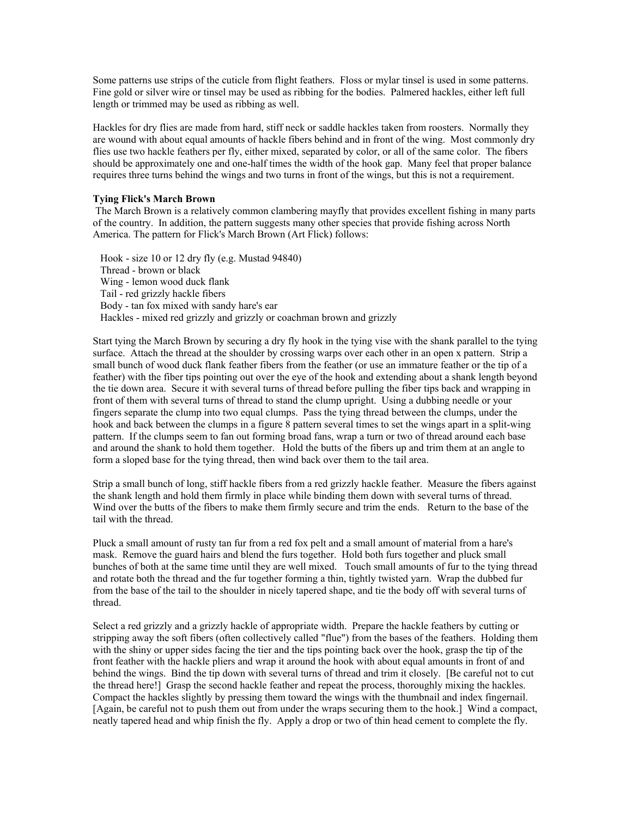Some patterns use strips of the cuticle from flight feathers. Floss or mylar tinsel is used in some patterns. Fine gold or silver wire or tinsel may be used as ribbing for the bodies. Palmered hackles, either left full length or trimmed may be used as ribbing as well.

Hackles for dry flies are made from hard, stiff neck or saddle hackles taken from roosters. Normally they are wound with about equal amounts of hackle fibers behind and in front of the wing. Most commonly dry flies use two hackle feathers per fly, either mixed, separated by color, or all of the same color. The fibers should be approximately one and one-half times the width of the hook gap. Many feel that proper balance requires three turns behind the wings and two turns in front of the wings, but this is not a requirement.

#### **Tying Flick's March Brown**

 The March Brown is a relatively common clambering mayfly that provides excellent fishing in many parts of the country. In addition, the pattern suggests many other species that provide fishing across North America. The pattern for Flick's March Brown (Art Flick) follows:

Hook - size 10 or 12 dry fly (e.g. Mustad 94840) Thread - brown or black Wing - lemon wood duck flank Tail - red grizzly hackle fibers Body - tan fox mixed with sandy hare's ear Hackles - mixed red grizzly and grizzly or coachman brown and grizzly

Start tying the March Brown by securing a dry fly hook in the tying vise with the shank parallel to the tying surface. Attach the thread at the shoulder by crossing warps over each other in an open x pattern. Strip a small bunch of wood duck flank feather fibers from the feather (or use an immature feather or the tip of a feather) with the fiber tips pointing out over the eye of the hook and extending about a shank length beyond the tie down area. Secure it with several turns of thread before pulling the fiber tips back and wrapping in front of them with several turns of thread to stand the clump upright. Using a dubbing needle or your fingers separate the clump into two equal clumps. Pass the tying thread between the clumps, under the hook and back between the clumps in a figure 8 pattern several times to set the wings apart in a split-wing pattern. If the clumps seem to fan out forming broad fans, wrap a turn or two of thread around each base and around the shank to hold them together. Hold the butts of the fibers up and trim them at an angle to form a sloped base for the tying thread, then wind back over them to the tail area.

Strip a small bunch of long, stiff hackle fibers from a red grizzly hackle feather. Measure the fibers against the shank length and hold them firmly in place while binding them down with several turns of thread. Wind over the butts of the fibers to make them firmly secure and trim the ends. Return to the base of the tail with the thread.

Pluck a small amount of rusty tan fur from a red fox pelt and a small amount of material from a hare's mask. Remove the guard hairs and blend the furs together. Hold both furs together and pluck small bunches of both at the same time until they are well mixed. Touch small amounts of fur to the tying thread and rotate both the thread and the fur together forming a thin, tightly twisted yarn. Wrap the dubbed fur from the base of the tail to the shoulder in nicely tapered shape, and tie the body off with several turns of thread.

Select a red grizzly and a grizzly hackle of appropriate width. Prepare the hackle feathers by cutting or stripping away the soft fibers (often collectively called "flue") from the bases of the feathers. Holding them with the shiny or upper sides facing the tier and the tips pointing back over the hook, grasp the tip of the front feather with the hackle pliers and wrap it around the hook with about equal amounts in front of and behind the wings. Bind the tip down with several turns of thread and trim it closely. [Be careful not to cut the thread here!] Grasp the second hackle feather and repeat the process, thoroughly mixing the hackles. Compact the hackles slightly by pressing them toward the wings with the thumbnail and index fingernail. [Again, be careful not to push them out from under the wraps securing them to the hook.] Wind a compact, neatly tapered head and whip finish the fly. Apply a drop or two of thin head cement to complete the fly.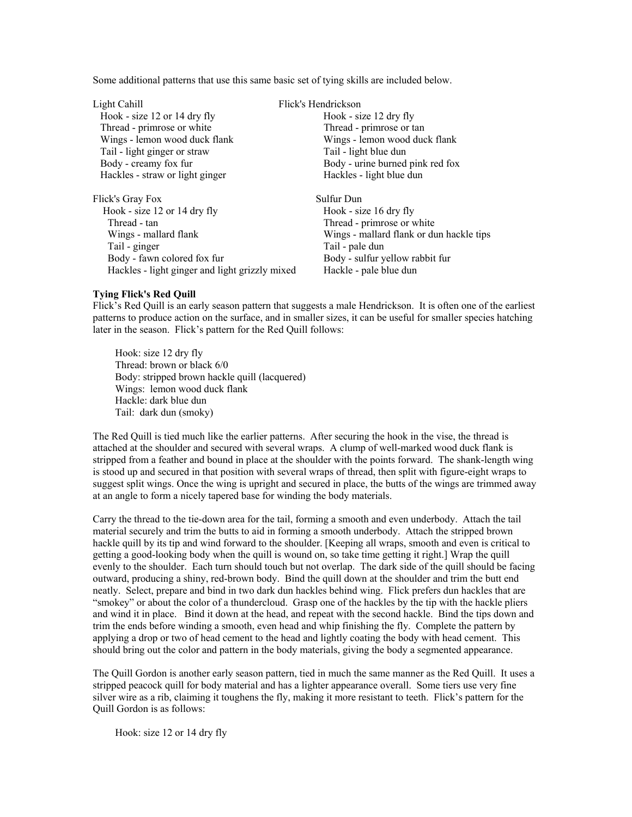Some additional patterns that use this same basic set of tying skills are included below.

Light Cahill Flick's Hendrickson Hook - size 12 or 14 dry fly Hook - size 12 dry fly Thread - primrose or white Thread - primrose or tan Wings - lemon wood duck flank Wings - lemon wood duck flank Tail - light ginger or straw Tail - light blue dun Body - creamy fox fur Body - urine burned pink red fox Hackles - straw or light ginger Hackles - light blue dun Flick's Gray Fox Sulfur Dun Hook - size 12 or 14 dry fly Hook - size 16 dry fly Thread - tan Thread - primrose or white Wings - mallard flank Wings - mallard flank or dun hackle tips Tail - ginger Tail - pale dun Body - fawn colored fox fur Body - sulfur yellow rabbit fur Hackles - light ginger and light grizzly mixed Hackle - pale blue dun

### **Tying Flick's Red Quill**

Flick's Red Quill is an early season pattern that suggests a male Hendrickson. It is often one of the earliest patterns to produce action on the surface, and in smaller sizes, it can be useful for smaller species hatching later in the season. Flick's pattern for the Red Quill follows:

Hook: size 12 dry fly Thread: brown or black 6/0 Body: stripped brown hackle quill (lacquered) Wings: lemon wood duck flank Hackle: dark blue dun Tail: dark dun (smoky)

The Red Quill is tied much like the earlier patterns. After securing the hook in the vise, the thread is attached at the shoulder and secured with several wraps. A clump of well-marked wood duck flank is stripped from a feather and bound in place at the shoulder with the points forward. The shank-length wing is stood up and secured in that position with several wraps of thread, then split with figure-eight wraps to suggest split wings. Once the wing is upright and secured in place, the butts of the wings are trimmed away at an angle to form a nicely tapered base for winding the body materials.

Carry the thread to the tie-down area for the tail, forming a smooth and even underbody. Attach the tail material securely and trim the butts to aid in forming a smooth underbody. Attach the stripped brown hackle quill by its tip and wind forward to the shoulder. [Keeping all wraps, smooth and even is critical to getting a good-looking body when the quill is wound on, so take time getting it right.] Wrap the quill evenly to the shoulder. Each turn should touch but not overlap. The dark side of the quill should be facing outward, producing a shiny, red-brown body. Bind the quill down at the shoulder and trim the butt end neatly. Select, prepare and bind in two dark dun hackles behind wing. Flick prefers dun hackles that are "smokey" or about the color of a thundercloud. Grasp one of the hackles by the tip with the hackle pliers and wind it in place. Bind it down at the head, and repeat with the second hackle. Bind the tips down and trim the ends before winding a smooth, even head and whip finishing the fly. Complete the pattern by applying a drop or two of head cement to the head and lightly coating the body with head cement. This should bring out the color and pattern in the body materials, giving the body a segmented appearance.

The Quill Gordon is another early season pattern, tied in much the same manner as the Red Quill. It uses a stripped peacock quill for body material and has a lighter appearance overall. Some tiers use very fine silver wire as a rib, claiming it toughens the fly, making it more resistant to teeth. Flick's pattern for the Quill Gordon is as follows:

Hook: size 12 or 14 dry fly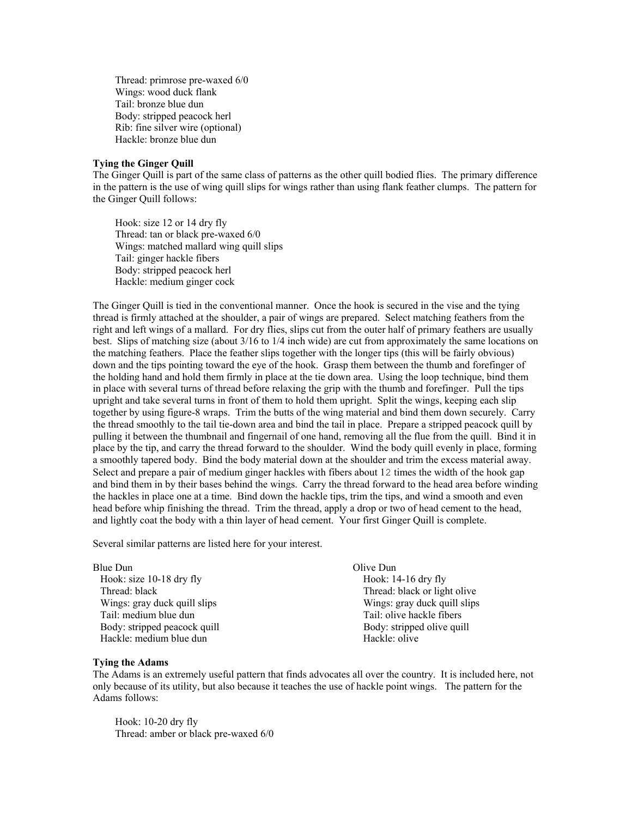Thread: primrose pre-waxed 6/0 Wings: wood duck flank Tail: bronze blue dun Body: stripped peacock herl Rib: fine silver wire (optional) Hackle: bronze blue dun

### **Tying the Ginger Quill**

The Ginger Quill is part of the same class of patterns as the other quill bodied flies. The primary difference in the pattern is the use of wing quill slips for wings rather than using flank feather clumps. The pattern for the Ginger Quill follows:

Hook: size 12 or 14 dry fly Thread: tan or black pre-waxed 6/0 Wings: matched mallard wing quill slips Tail: ginger hackle fibers Body: stripped peacock herl Hackle: medium ginger cock

The Ginger Quill is tied in the conventional manner. Once the hook is secured in the vise and the tying thread is firmly attached at the shoulder, a pair of wings are prepared. Select matching feathers from the right and left wings of a mallard. For dry flies, slips cut from the outer half of primary feathers are usually best. Slips of matching size (about 3/16 to 1/4 inch wide) are cut from approximately the same locations on the matching feathers. Place the feather slips together with the longer tips (this will be fairly obvious) down and the tips pointing toward the eye of the hook. Grasp them between the thumb and forefinger of the holding hand and hold them firmly in place at the tie down area. Using the loop technique, bind them in place with several turns of thread before relaxing the grip with the thumb and forefinger. Pull the tips upright and take several turns in front of them to hold them upright. Split the wings, keeping each slip together by using figure-8 wraps. Trim the butts of the wing material and bind them down securely. Carry the thread smoothly to the tail tie-down area and bind the tail in place. Prepare a stripped peacock quill by pulling it between the thumbnail and fingernail of one hand, removing all the flue from the quill. Bind it in place by the tip, and carry the thread forward to the shoulder. Wind the body quill evenly in place, forming a smoothly tapered body. Bind the body material down at the shoulder and trim the excess material away. Select and prepare a pair of medium ginger hackles with fibers about 12 times the width of the hook gap and bind them in by their bases behind the wings. Carry the thread forward to the head area before winding the hackles in place one at a time. Bind down the hackle tips, trim the tips, and wind a smooth and even head before whip finishing the thread. Trim the thread, apply a drop or two of head cement to the head, and lightly coat the body with a thin layer of head cement. Your first Ginger Quill is complete.

Several similar patterns are listed here for your interest.

| Blue Dun                     | Olive Dun                    |
|------------------------------|------------------------------|
| Hook: size 10-18 dry fly     | Hook: 14-16 dry fly          |
| Thread: black                | Thread: black or light olive |
| Wings: gray duck quill slips | Wings: gray duck quill slips |
| Tail: medium blue dun        | Tail: olive hackle fibers    |
| Body: stripped peacock quill | Body: stripped olive quill   |
| Hackle: medium blue dun      | Hackle: olive                |

#### **Tying the Adams**

The Adams is an extremely useful pattern that finds advocates all over the country. It is included here, not only because of its utility, but also because it teaches the use of hackle point wings. The pattern for the Adams follows:

Hook: 10-20 dry fly Thread: amber or black pre-waxed 6/0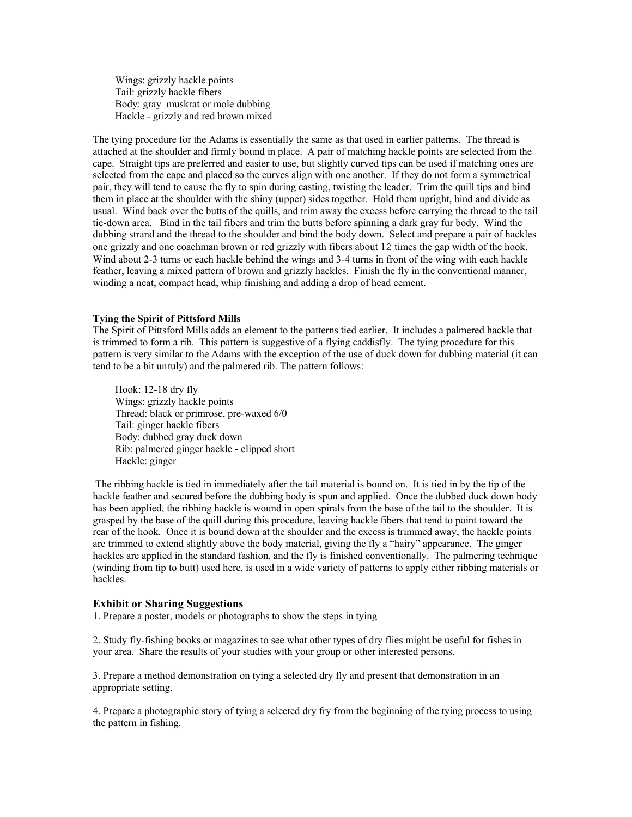Wings: grizzly hackle points Tail: grizzly hackle fibers Body: gray muskrat or mole dubbing Hackle - grizzly and red brown mixed

The tying procedure for the Adams is essentially the same as that used in earlier patterns. The thread is attached at the shoulder and firmly bound in place. A pair of matching hackle points are selected from the cape. Straight tips are preferred and easier to use, but slightly curved tips can be used if matching ones are selected from the cape and placed so the curves align with one another. If they do not form a symmetrical pair, they will tend to cause the fly to spin during casting, twisting the leader. Trim the quill tips and bind them in place at the shoulder with the shiny (upper) sides together. Hold them upright, bind and divide as usual. Wind back over the butts of the quills, and trim away the excess before carrying the thread to the tail tie-down area. Bind in the tail fibers and trim the butts before spinning a dark gray fur body. Wind the dubbing strand and the thread to the shoulder and bind the body down. Select and prepare a pair of hackles one grizzly and one coachman brown or red grizzly with fibers about 12 times the gap width of the hook. Wind about 2-3 turns or each hackle behind the wings and 3-4 turns in front of the wing with each hackle feather, leaving a mixed pattern of brown and grizzly hackles. Finish the fly in the conventional manner, winding a neat, compact head, whip finishing and adding a drop of head cement.

#### **Tying the Spirit of Pittsford Mills**

The Spirit of Pittsford Mills adds an element to the patterns tied earlier. It includes a palmered hackle that is trimmed to form a rib. This pattern is suggestive of a flying caddisfly. The tying procedure for this pattern is very similar to the Adams with the exception of the use of duck down for dubbing material (it can tend to be a bit unruly) and the palmered rib. The pattern follows:

Hook: 12-18 dry fly Wings: grizzly hackle points Thread: black or primrose, pre-waxed 6/0 Tail: ginger hackle fibers Body: dubbed gray duck down Rib: palmered ginger hackle - clipped short Hackle: ginger

 The ribbing hackle is tied in immediately after the tail material is bound on. It is tied in by the tip of the hackle feather and secured before the dubbing body is spun and applied. Once the dubbed duck down body has been applied, the ribbing hackle is wound in open spirals from the base of the tail to the shoulder. It is grasped by the base of the quill during this procedure, leaving hackle fibers that tend to point toward the rear of the hook. Once it is bound down at the shoulder and the excess is trimmed away, the hackle points are trimmed to extend slightly above the body material, giving the fly a "hairy" appearance. The ginger hackles are applied in the standard fashion, and the fly is finished conventionally. The palmering technique (winding from tip to butt) used here, is used in a wide variety of patterns to apply either ribbing materials or hackles.

#### **Exhibit or Sharing Suggestions**

1. Prepare a poster, models or photographs to show the steps in tying

2. Study fly-fishing books or magazines to see what other types of dry flies might be useful for fishes in your area. Share the results of your studies with your group or other interested persons.

3. Prepare a method demonstration on tying a selected dry fly and present that demonstration in an appropriate setting.

4. Prepare a photographic story of tying a selected dry fry from the beginning of the tying process to using the pattern in fishing.